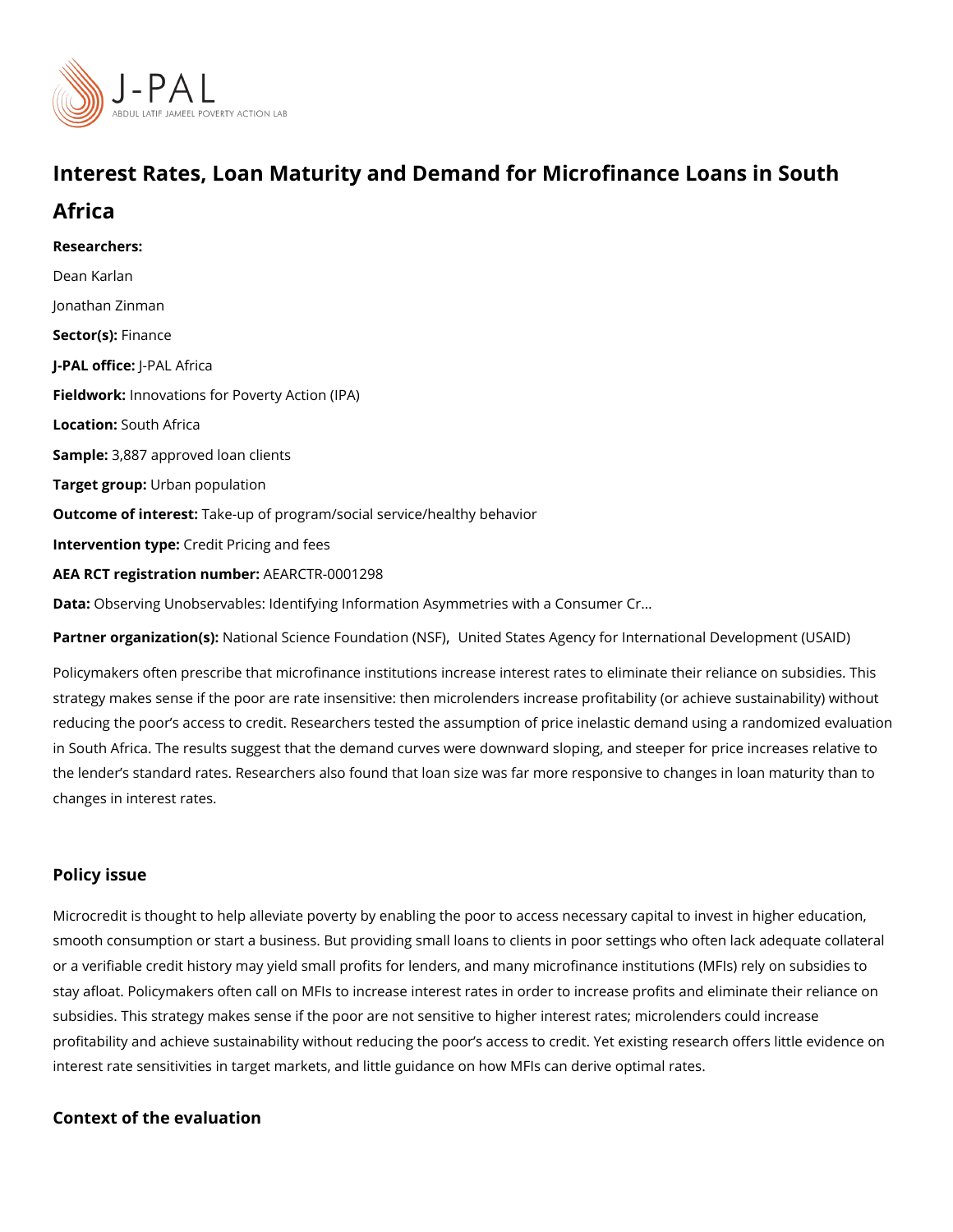# Interest Rates, Loan Maturity and Demand for Microfinance

# Africa

Researchers: [Dean Ka](https://www.povertyactionlab.org/person/karlan)rlan [Jonathan Z](https://www.povertyactionlab.org/person/zinman)inman Sector(Fsi)nance J-PAL oftli-cPeAL Africa Fieldworkhovations for Poverty Action (IPA) Locatio Sputh Africa Sample: 887 approved loan clients Target groupban population Outcome of intelaste: up of program/social service/healthy behavior Intervention  $t\mathcal{C}$ pedit Pricing and fees AEA RCT registration ArEuAnRbCeTR-0001298 Data[Observing Unobservables: Identifying Information Asymm](http://www.dartmouth.edu/~jzinman/Papers/KZ_OU_public_withgender.zip)etries with a Consumer Cr &

Partner organizatNant (schal Science Found autriotred NSSE) es Agency for International Developme

Policymakers often prescribe that microfinance institutions increase interest rates to elim strategy makes sense if the poor are rate insensitive: then microlenders increase profitat reducing the poor s access to credit. Researchers tested the assumption of price inelastion in South Africa. The results suggest that the demand curves were downward sloping, and the lender s standard rates. Researchers also found that loan size was far more responsiv changes in interest rates.

#### Policy issue

Microcredit is thought to help alleviate poverty by enabling the poor to access necessary smooth consumption or start a business. But providing small loans to clients in poor setti or a verifiable credit history may yield small profits for lenders, and many microfinance in stay afloat. Policymakers often call on MFIs to increase interest rates in order to increas subsidies. This strategy makes sense if the poor are not sensitive to higher interest rates profitability and achieve sustainability without reducing the poor s access to credit. Yet  $\epsilon$ interest rate sensitivities in target markets, and little guidance on how MFIs can derive o

Context of the evaluation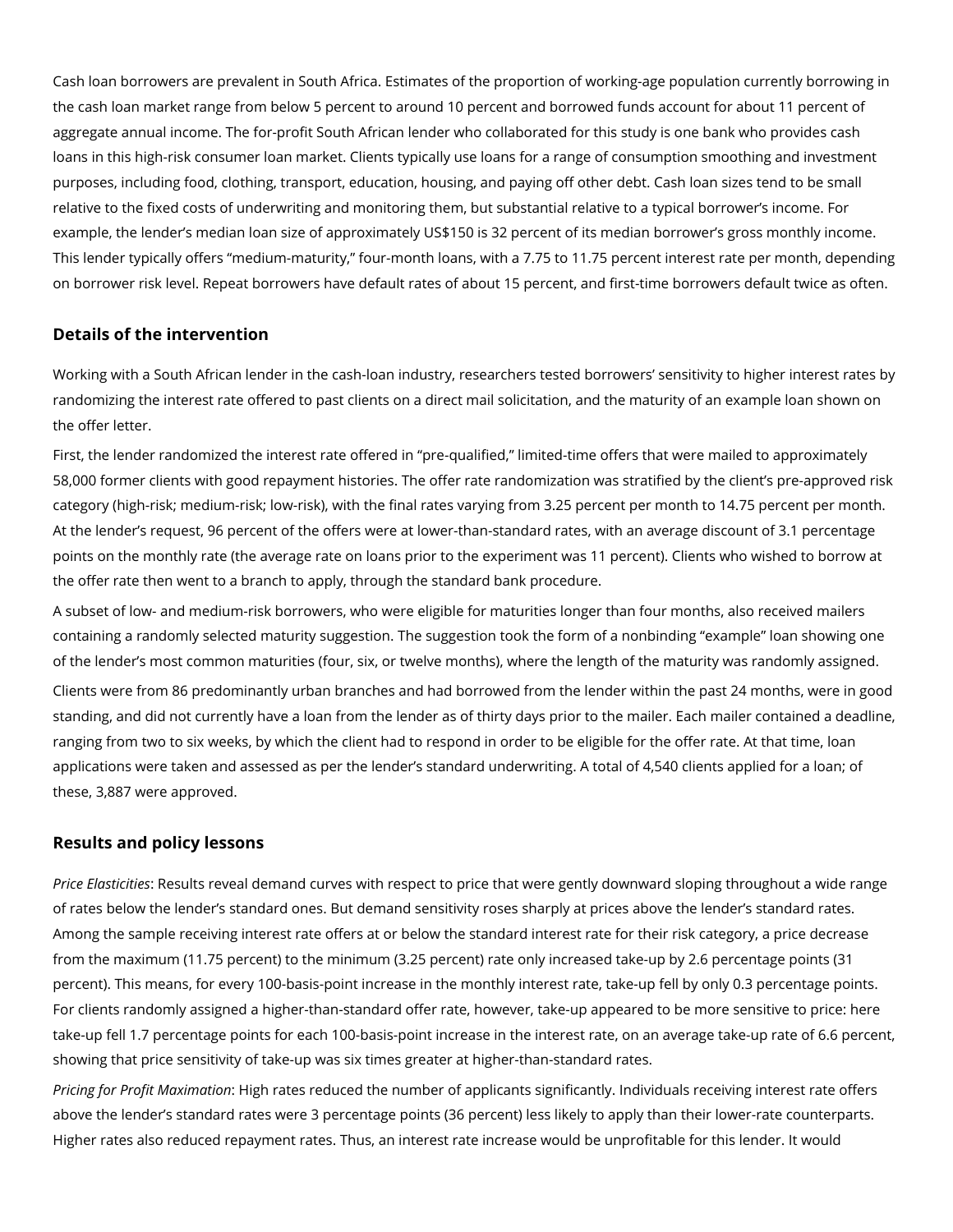Cash loan borrowers are prevalent in South Africa. Estimates of the proportion of working-age population currently borrowing in the cash loan market range from below 5 percent to around 10 percent and borrowed funds account for about 11 percent of aggregate annual income. The for-profit South African lender who collaborated for this study is one bank who provides cash loans in this high-risk consumer loan market. Clients typically use loans for a range of consumption smoothing and investment purposes, including food, clothing, transport, education, housing, and paying off other debt. Cash loan sizes tend to be small relative to the fixed costs of underwriting and monitoring them, but substantial relative to a typical borrower's income. For example, the lender's median loan size of approximately US\$150 is 32 percent of its median borrower's gross monthly income. This lender typically offers "medium-maturity," four-month loans, with a 7.75 to 11.75 percent interest rate per month, depending on borrower risk level. Repeat borrowers have default rates of about 15 percent, and first-time borrowers default twice as often.

### **Details of the intervention**

Working with a South African lender in the cash-loan industry, researchers tested borrowers' sensitivity to higher interest rates by randomizing the interest rate offered to past clients on a direct mail solicitation, and the maturity of an example loan shown on the offer letter.

First, the lender randomized the interest rate offered in "pre-qualified," limited-time offers that were mailed to approximately 58,000 former clients with good repayment histories. The offer rate randomization was stratified by the client's pre-approved risk category (high-risk; medium-risk; low-risk), with the final rates varying from 3.25 percent per month to 14.75 percent per month. At the lender's request, 96 percent of the offers were at lower-than-standard rates, with an average discount of 3.1 percentage points on the monthly rate (the average rate on loans prior to the experiment was 11 percent). Clients who wished to borrow at the offer rate then went to a branch to apply, through the standard bank procedure.

A subset of low- and medium-risk borrowers, who were eligible for maturities longer than four months, also received mailers containing a randomly selected maturity suggestion. The suggestion took the form of a nonbinding "example" loan showing one of the lender's most common maturities (four, six, or twelve months), where the length of the maturity was randomly assigned.

Clients were from 86 predominantly urban branches and had borrowed from the lender within the past 24 months, were in good standing, and did not currently have a loan from the lender as of thirty days prior to the mailer. Each mailer contained a deadline, ranging from two to six weeks, by which the client had to respond in order to be eligible for the offer rate. At that time, loan applications were taken and assessed as per the lender's standard underwriting. A total of 4,540 clients applied for a loan; of these, 3,887 were approved.

### **Results and policy lessons**

*Price Elasticities*: Results reveal demand curves with respect to price that were gently downward sloping throughout a wide range of rates below the lender's standard ones. But demand sensitivity roses sharply at prices above the lender's standard rates. Among the sample receiving interest rate offers at or below the standard interest rate for their risk category, a price decrease from the maximum (11.75 percent) to the minimum (3.25 percent) rate only increased take-up by 2.6 percentage points (31 percent). This means, for every 100-basis-point increase in the monthly interest rate, take-up fell by only 0.3 percentage points. For clients randomly assigned a higher-than-standard offer rate, however, take-up appeared to be more sensitive to price: here take-up fell 1.7 percentage points for each 100-basis-point increase in the interest rate, on an average take-up rate of 6.6 percent, showing that price sensitivity of take-up was six times greater at higher-than-standard rates.

*Pricing for Profit Maximation*: High rates reduced the number of applicants significantly. Individuals receiving interest rate offers above the lender's standard rates were 3 percentage points (36 percent) less likely to apply than their lower-rate counterparts. Higher rates also reduced repayment rates. Thus, an interest rate increase would be unprofitable for this lender. It would